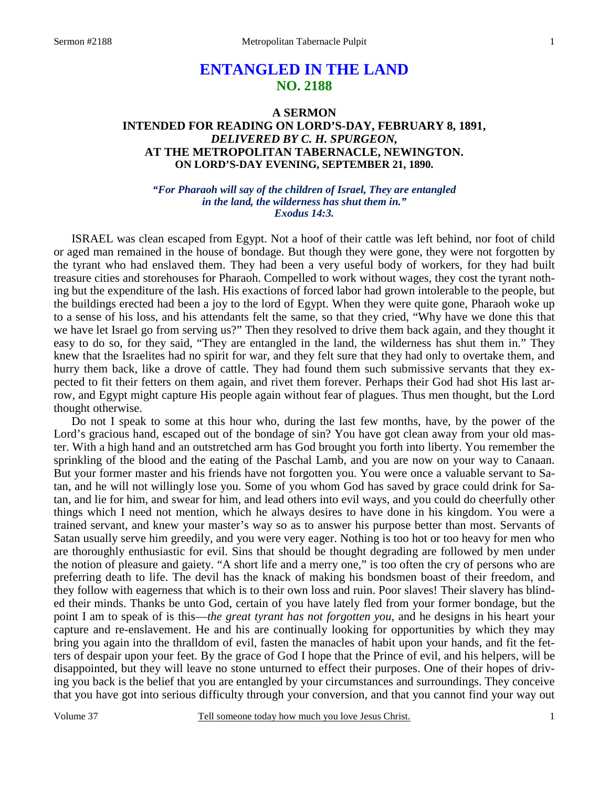# **ENTANGLED IN THE LAND NO. 2188**

# **A SERMON INTENDED FOR READING ON LORD'S-DAY, FEBRUARY 8, 1891,**  *DELIVERED BY C. H. SPURGEON,*  **AT THE METROPOLITAN TABERNACLE, NEWINGTON. ON LORD'S-DAY EVENING, SEPTEMBER 21, 1890.**

*"For Pharaoh will say of the children of Israel, They are entangled in the land, the wilderness has shut them in." Exodus 14:3.* 

ISRAEL was clean escaped from Egypt. Not a hoof of their cattle was left behind, nor foot of child or aged man remained in the house of bondage. But though they were gone, they were not forgotten by the tyrant who had enslaved them. They had been a very useful body of workers, for they had built treasure cities and storehouses for Pharaoh. Compelled to work without wages, they cost the tyrant nothing but the expenditure of the lash. His exactions of forced labor had grown intolerable to the people, but the buildings erected had been a joy to the lord of Egypt. When they were quite gone, Pharaoh woke up to a sense of his loss, and his attendants felt the same, so that they cried, "Why have we done this that we have let Israel go from serving us?" Then they resolved to drive them back again, and they thought it easy to do so, for they said, "They are entangled in the land, the wilderness has shut them in." They knew that the Israelites had no spirit for war, and they felt sure that they had only to overtake them, and hurry them back, like a drove of cattle. They had found them such submissive servants that they expected to fit their fetters on them again, and rivet them forever. Perhaps their God had shot His last arrow, and Egypt might capture His people again without fear of plagues. Thus men thought, but the Lord thought otherwise.

 Do not I speak to some at this hour who, during the last few months, have, by the power of the Lord's gracious hand, escaped out of the bondage of sin? You have got clean away from your old master. With a high hand and an outstretched arm has God brought you forth into liberty. You remember the sprinkling of the blood and the eating of the Paschal Lamb, and you are now on your way to Canaan. But your former master and his friends have not forgotten you. You were once a valuable servant to Satan, and he will not willingly lose you. Some of you whom God has saved by grace could drink for Satan, and lie for him, and swear for him, and lead others into evil ways, and you could do cheerfully other things which I need not mention, which he always desires to have done in his kingdom. You were a trained servant, and knew your master's way so as to answer his purpose better than most. Servants of Satan usually serve him greedily, and you were very eager. Nothing is too hot or too heavy for men who are thoroughly enthusiastic for evil. Sins that should be thought degrading are followed by men under the notion of pleasure and gaiety. "A short life and a merry one," is too often the cry of persons who are preferring death to life. The devil has the knack of making his bondsmen boast of their freedom, and they follow with eagerness that which is to their own loss and ruin. Poor slaves! Their slavery has blinded their minds. Thanks be unto God, certain of you have lately fled from your former bondage, but the point I am to speak of is this—*the great tyrant has not forgotten you,* and he designs in his heart your capture and re-enslavement. He and his are continually looking for opportunities by which they may bring you again into the thralldom of evil, fasten the manacles of habit upon your hands, and fit the fetters of despair upon your feet. By the grace of God I hope that the Prince of evil, and his helpers, will be disappointed, but they will leave no stone unturned to effect their purposes. One of their hopes of driving you back is the belief that you are entangled by your circumstances and surroundings. They conceive that you have got into serious difficulty through your conversion, and that you cannot find your way out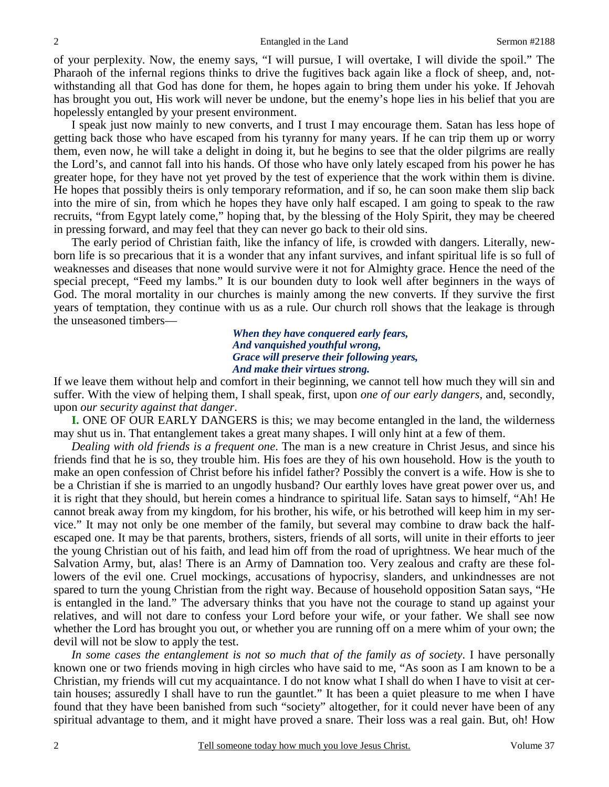of your perplexity. Now, the enemy says, "I will pursue, I will overtake, I will divide the spoil." The Pharaoh of the infernal regions thinks to drive the fugitives back again like a flock of sheep, and, notwithstanding all that God has done for them, he hopes again to bring them under his yoke. If Jehovah has brought you out, His work will never be undone, but the enemy's hope lies in his belief that you are hopelessly entangled by your present environment.

 I speak just now mainly to new converts, and I trust I may encourage them. Satan has less hope of getting back those who have escaped from his tyranny for many years. If he can trip them up or worry them, even now, he will take a delight in doing it, but he begins to see that the older pilgrims are really the Lord's, and cannot fall into his hands. Of those who have only lately escaped from his power he has greater hope, for they have not yet proved by the test of experience that the work within them is divine. He hopes that possibly theirs is only temporary reformation, and if so, he can soon make them slip back into the mire of sin, from which he hopes they have only half escaped. I am going to speak to the raw recruits, "from Egypt lately come," hoping that, by the blessing of the Holy Spirit, they may be cheered in pressing forward, and may feel that they can never go back to their old sins.

 The early period of Christian faith, like the infancy of life, is crowded with dangers. Literally, newborn life is so precarious that it is a wonder that any infant survives, and infant spiritual life is so full of weaknesses and diseases that none would survive were it not for Almighty grace. Hence the need of the special precept, "Feed my lambs." It is our bounden duty to look well after beginners in the ways of God. The moral mortality in our churches is mainly among the new converts. If they survive the first years of temptation, they continue with us as a rule. Our church roll shows that the leakage is through the unseasoned timbers—

> *When they have conquered early fears, And vanquished youthful wrong, Grace will preserve their following years, And make their virtues strong.*

If we leave them without help and comfort in their beginning, we cannot tell how much they will sin and suffer. With the view of helping them, I shall speak, first, upon *one of our early dangers,* and, secondly, upon *our security against that danger*.

**I.** ONE OF OUR EARLY DANGERS is this; we may become entangled in the land, the wilderness may shut us in. That entanglement takes a great many shapes. I will only hint at a few of them.

 *Dealing with old friends is a frequent one*. The man is a new creature in Christ Jesus, and since his friends find that he is so, they trouble him. His foes are they of his own household. How is the youth to make an open confession of Christ before his infidel father? Possibly the convert is a wife. How is she to be a Christian if she is married to an ungodly husband? Our earthly loves have great power over us, and it is right that they should, but herein comes a hindrance to spiritual life. Satan says to himself, "Ah! He cannot break away from my kingdom, for his brother, his wife, or his betrothed will keep him in my service." It may not only be one member of the family, but several may combine to draw back the halfescaped one. It may be that parents, brothers, sisters, friends of all sorts, will unite in their efforts to jeer the young Christian out of his faith, and lead him off from the road of uprightness. We hear much of the Salvation Army, but, alas! There is an Army of Damnation too. Very zealous and crafty are these followers of the evil one. Cruel mockings, accusations of hypocrisy, slanders, and unkindnesses are not spared to turn the young Christian from the right way. Because of household opposition Satan says, "He is entangled in the land." The adversary thinks that you have not the courage to stand up against your relatives, and will not dare to confess your Lord before your wife, or your father. We shall see now whether the Lord has brought you out, or whether you are running off on a mere whim of your own; the devil will not be slow to apply the test.

*In some cases the entanglement is not so much that of the family as of society*. I have personally known one or two friends moving in high circles who have said to me, "As soon as I am known to be a Christian, my friends will cut my acquaintance. I do not know what I shall do when I have to visit at certain houses; assuredly I shall have to run the gauntlet." It has been a quiet pleasure to me when I have found that they have been banished from such "society" altogether, for it could never have been of any spiritual advantage to them, and it might have proved a snare. Their loss was a real gain. But, oh! How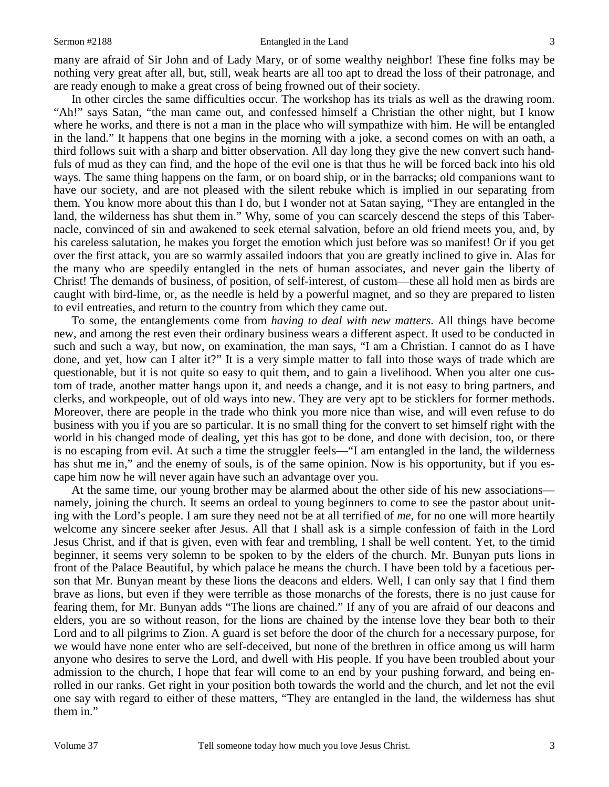#### Sermon #2188 **Entangled in the Land** 3

many are afraid of Sir John and of Lady Mary, or of some wealthy neighbor! These fine folks may be nothing very great after all, but, still, weak hearts are all too apt to dread the loss of their patronage, and are ready enough to make a great cross of being frowned out of their society.

 In other circles the same difficulties occur. The workshop has its trials as well as the drawing room. "Ah!" says Satan, "the man came out, and confessed himself a Christian the other night, but I know where he works, and there is not a man in the place who will sympathize with him. He will be entangled in the land." It happens that one begins in the morning with a joke, a second comes on with an oath, a third follows suit with a sharp and bitter observation. All day long they give the new convert such handfuls of mud as they can find, and the hope of the evil one is that thus he will be forced back into his old ways. The same thing happens on the farm, or on board ship, or in the barracks; old companions want to have our society, and are not pleased with the silent rebuke which is implied in our separating from them. You know more about this than I do, but I wonder not at Satan saying, "They are entangled in the land, the wilderness has shut them in." Why, some of you can scarcely descend the steps of this Tabernacle, convinced of sin and awakened to seek eternal salvation, before an old friend meets you, and, by his careless salutation, he makes you forget the emotion which just before was so manifest! Or if you get over the first attack, you are so warmly assailed indoors that you are greatly inclined to give in. Alas for the many who are speedily entangled in the nets of human associates, and never gain the liberty of Christ! The demands of business, of position, of self-interest, of custom—these all hold men as birds are caught with bird-lime, or, as the needle is held by a powerful magnet, and so they are prepared to listen to evil entreaties, and return to the country from which they came out.

 To some, the entanglements come from *having to deal with new matters*. All things have become new, and among the rest even their ordinary business wears a different aspect. It used to be conducted in such and such a way, but now, on examination, the man says, "I am a Christian. I cannot do as I have done, and yet, how can I alter it?" It is a very simple matter to fall into those ways of trade which are questionable, but it is not quite so easy to quit them, and to gain a livelihood. When you alter one custom of trade, another matter hangs upon it, and needs a change, and it is not easy to bring partners, and clerks, and workpeople, out of old ways into new. They are very apt to be sticklers for former methods. Moreover, there are people in the trade who think you more nice than wise, and will even refuse to do business with you if you are so particular. It is no small thing for the convert to set himself right with the world in his changed mode of dealing, yet this has got to be done, and done with decision, too, or there is no escaping from evil. At such a time the struggler feels—"I am entangled in the land, the wilderness has shut me in," and the enemy of souls, is of the same opinion. Now is his opportunity, but if you escape him now he will never again have such an advantage over you.

 At the same time, our young brother may be alarmed about the other side of his new associations namely, joining the church. It seems an ordeal to young beginners to come to see the pastor about uniting with the Lord's people. I am sure they need not be at all terrified of *me,* for no one will more heartily welcome any sincere seeker after Jesus. All that I shall ask is a simple confession of faith in the Lord Jesus Christ, and if that is given, even with fear and trembling, I shall be well content. Yet, to the timid beginner, it seems very solemn to be spoken to by the elders of the church. Mr. Bunyan puts lions in front of the Palace Beautiful, by which palace he means the church. I have been told by a facetious person that Mr. Bunyan meant by these lions the deacons and elders. Well, I can only say that I find them brave as lions, but even if they were terrible as those monarchs of the forests, there is no just cause for fearing them, for Mr. Bunyan adds "The lions are chained." If any of you are afraid of our deacons and elders, you are so without reason, for the lions are chained by the intense love they bear both to their Lord and to all pilgrims to Zion. A guard is set before the door of the church for a necessary purpose, for we would have none enter who are self-deceived, but none of the brethren in office among us will harm anyone who desires to serve the Lord, and dwell with His people. If you have been troubled about your admission to the church, I hope that fear will come to an end by your pushing forward, and being enrolled in our ranks. Get right in your position both towards the world and the church, and let not the evil one say with regard to either of these matters, "They are entangled in the land, the wilderness has shut them in."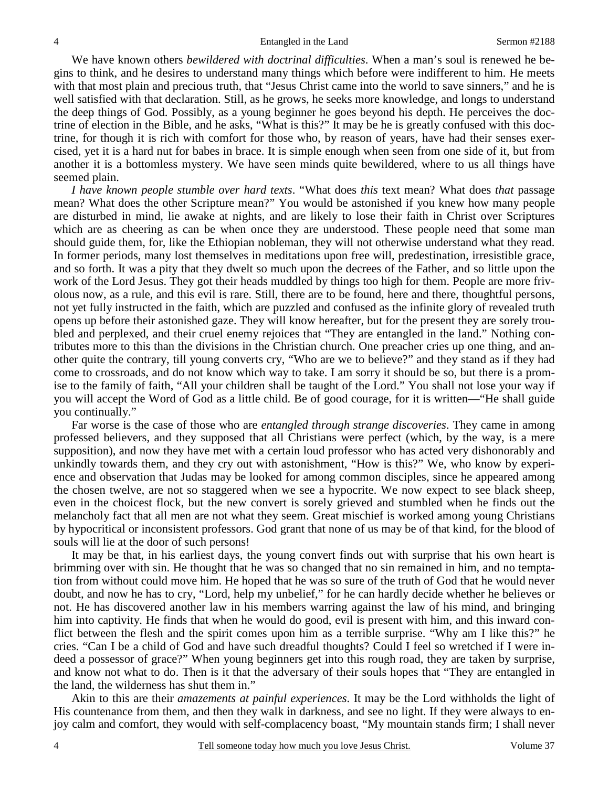We have known others *bewildered with doctrinal difficulties*. When a man's soul is renewed he begins to think, and he desires to understand many things which before were indifferent to him. He meets with that most plain and precious truth, that "Jesus Christ came into the world to save sinners," and he is well satisfied with that declaration. Still, as he grows, he seeks more knowledge, and longs to understand the deep things of God. Possibly, as a young beginner he goes beyond his depth. He perceives the doctrine of election in the Bible, and he asks, "What is this?" It may be he is greatly confused with this doctrine, for though it is rich with comfort for those who, by reason of years, have had their senses exercised, yet it is a hard nut for babes in brace. It is simple enough when seen from one side of it, but from another it is a bottomless mystery. We have seen minds quite bewildered, where to us all things have seemed plain.

*I have known people stumble over hard texts*. "What does *this* text mean? What does *that* passage mean? What does the other Scripture mean?" You would be astonished if you knew how many people are disturbed in mind, lie awake at nights, and are likely to lose their faith in Christ over Scriptures which are as cheering as can be when once they are understood. These people need that some man should guide them, for, like the Ethiopian nobleman, they will not otherwise understand what they read. In former periods, many lost themselves in meditations upon free will, predestination, irresistible grace, and so forth. It was a pity that they dwelt so much upon the decrees of the Father, and so little upon the work of the Lord Jesus. They got their heads muddled by things too high for them. People are more frivolous now, as a rule, and this evil is rare. Still, there are to be found, here and there, thoughtful persons, not yet fully instructed in the faith, which are puzzled and confused as the infinite glory of revealed truth opens up before their astonished gaze. They will know hereafter, but for the present they are sorely troubled and perplexed, and their cruel enemy rejoices that "They are entangled in the land." Nothing contributes more to this than the divisions in the Christian church. One preacher cries up one thing, and another quite the contrary, till young converts cry, "Who are we to believe?" and they stand as if they had come to crossroads, and do not know which way to take. I am sorry it should be so, but there is a promise to the family of faith, "All your children shall be taught of the Lord." You shall not lose your way if you will accept the Word of God as a little child. Be of good courage, for it is written—"He shall guide you continually."

 Far worse is the case of those who are *entangled through strange discoveries*. They came in among professed believers, and they supposed that all Christians were perfect (which, by the way, is a mere supposition), and now they have met with a certain loud professor who has acted very dishonorably and unkindly towards them, and they cry out with astonishment, "How is this?" We, who know by experience and observation that Judas may be looked for among common disciples, since he appeared among the chosen twelve, are not so staggered when we see a hypocrite. We now expect to see black sheep, even in the choicest flock, but the new convert is sorely grieved and stumbled when he finds out the melancholy fact that all men are not what they seem. Great mischief is worked among young Christians by hypocritical or inconsistent professors. God grant that none of us may be of that kind, for the blood of souls will lie at the door of such persons!

 It may be that, in his earliest days, the young convert finds out with surprise that his own heart is brimming over with sin. He thought that he was so changed that no sin remained in him, and no temptation from without could move him. He hoped that he was so sure of the truth of God that he would never doubt, and now he has to cry, "Lord, help my unbelief," for he can hardly decide whether he believes or not. He has discovered another law in his members warring against the law of his mind, and bringing him into captivity. He finds that when he would do good, evil is present with him, and this inward conflict between the flesh and the spirit comes upon him as a terrible surprise. "Why am I like this?" he cries. "Can I be a child of God and have such dreadful thoughts? Could I feel so wretched if I were indeed a possessor of grace?" When young beginners get into this rough road, they are taken by surprise, and know not what to do. Then is it that the adversary of their souls hopes that "They are entangled in the land, the wilderness has shut them in."

 Akin to this are their *amazements at painful experiences*. It may be the Lord withholds the light of His countenance from them, and then they walk in darkness, and see no light. If they were always to enjoy calm and comfort, they would with self-complacency boast, "My mountain stands firm; I shall never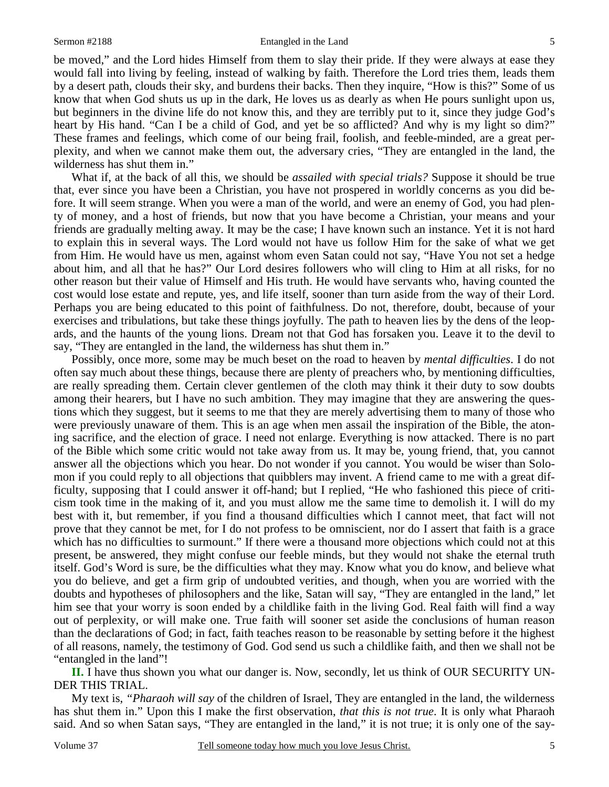be moved," and the Lord hides Himself from them to slay their pride. If they were always at ease they would fall into living by feeling, instead of walking by faith. Therefore the Lord tries them, leads them by a desert path, clouds their sky, and burdens their backs. Then they inquire, "How is this?" Some of us know that when God shuts us up in the dark, He loves us as dearly as when He pours sunlight upon us, but beginners in the divine life do not know this, and they are terribly put to it, since they judge God's heart by His hand. "Can I be a child of God, and yet be so afflicted? And why is my light so dim?" These frames and feelings, which come of our being frail, foolish, and feeble-minded, are a great perplexity, and when we cannot make them out, the adversary cries, "They are entangled in the land, the wilderness has shut them in."

 What if, at the back of all this, we should be *assailed with special trials?* Suppose it should be true that, ever since you have been a Christian, you have not prospered in worldly concerns as you did before. It will seem strange. When you were a man of the world, and were an enemy of God, you had plenty of money, and a host of friends, but now that you have become a Christian, your means and your friends are gradually melting away. It may be the case; I have known such an instance. Yet it is not hard to explain this in several ways. The Lord would not have us follow Him for the sake of what we get from Him. He would have us men, against whom even Satan could not say, "Have You not set a hedge about him, and all that he has?" Our Lord desires followers who will cling to Him at all risks, for no other reason but their value of Himself and His truth. He would have servants who, having counted the cost would lose estate and repute, yes, and life itself, sooner than turn aside from the way of their Lord. Perhaps you are being educated to this point of faithfulness. Do not, therefore, doubt, because of your exercises and tribulations, but take these things joyfully. The path to heaven lies by the dens of the leopards, and the haunts of the young lions. Dream not that God has forsaken you. Leave it to the devil to say, "They are entangled in the land, the wilderness has shut them in."

 Possibly, once more, some may be much beset on the road to heaven by *mental difficulties*. I do not often say much about these things, because there are plenty of preachers who, by mentioning difficulties, are really spreading them. Certain clever gentlemen of the cloth may think it their duty to sow doubts among their hearers, but I have no such ambition. They may imagine that they are answering the questions which they suggest, but it seems to me that they are merely advertising them to many of those who were previously unaware of them. This is an age when men assail the inspiration of the Bible, the atoning sacrifice, and the election of grace. I need not enlarge. Everything is now attacked. There is no part of the Bible which some critic would not take away from us. It may be, young friend, that, you cannot answer all the objections which you hear. Do not wonder if you cannot. You would be wiser than Solomon if you could reply to all objections that quibblers may invent. A friend came to me with a great difficulty, supposing that I could answer it off-hand; but I replied, "He who fashioned this piece of criticism took time in the making of it, and you must allow me the same time to demolish it. I will do my best with it, but remember, if you find a thousand difficulties which I cannot meet, that fact will not prove that they cannot be met, for I do not profess to be omniscient, nor do I assert that faith is a grace which has no difficulties to surmount." If there were a thousand more objections which could not at this present, be answered, they might confuse our feeble minds, but they would not shake the eternal truth itself. God's Word is sure, be the difficulties what they may. Know what you do know, and believe what you do believe, and get a firm grip of undoubted verities, and though, when you are worried with the doubts and hypotheses of philosophers and the like, Satan will say, "They are entangled in the land," let him see that your worry is soon ended by a childlike faith in the living God. Real faith will find a way out of perplexity, or will make one. True faith will sooner set aside the conclusions of human reason than the declarations of God; in fact, faith teaches reason to be reasonable by setting before it the highest of all reasons, namely, the testimony of God. God send us such a childlike faith, and then we shall not be "entangled in the land"!

**II.** I have thus shown you what our danger is. Now, secondly, let us think of OUR SECURITY UN-DER THIS TRIAL.

 My text is, *"Pharaoh will say* of the children of Israel, They are entangled in the land, the wilderness has shut them in." Upon this I make the first observation, *that this is not true*. It is only what Pharaoh said. And so when Satan says, "They are entangled in the land," it is not true; it is only one of the say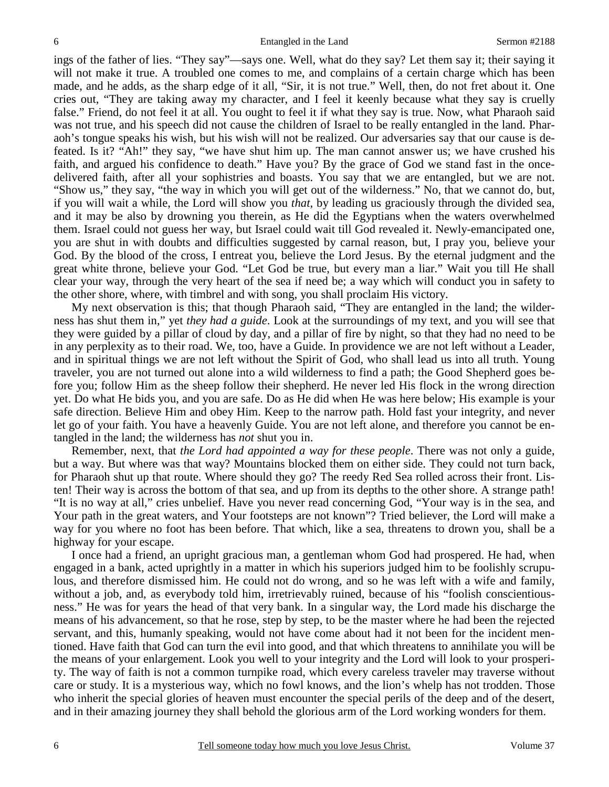ings of the father of lies. "They say"—says one. Well, what do they say? Let them say it; their saying it will not make it true. A troubled one comes to me, and complains of a certain charge which has been made, and he adds, as the sharp edge of it all, "Sir, it is not true." Well, then, do not fret about it. One cries out, "They are taking away my character, and I feel it keenly because what they say is cruelly false." Friend, do not feel it at all. You ought to feel it if what they say is true. Now, what Pharaoh said was not true, and his speech did not cause the children of Israel to be really entangled in the land. Pharaoh's tongue speaks his wish, but his wish will not be realized. Our adversaries say that our cause is defeated. Is it? "Ah!" they say, "we have shut him up. The man cannot answer us; we have crushed his faith, and argued his confidence to death." Have you? By the grace of God we stand fast in the oncedelivered faith, after all your sophistries and boasts. You say that we are entangled, but we are not. "Show us," they say, "the way in which you will get out of the wilderness." No, that we cannot do, but, if you will wait a while, the Lord will show you *that,* by leading us graciously through the divided sea, and it may be also by drowning you therein, as He did the Egyptians when the waters overwhelmed them. Israel could not guess her way, but Israel could wait till God revealed it. Newly-emancipated one, you are shut in with doubts and difficulties suggested by carnal reason, but, I pray you, believe your God. By the blood of the cross, I entreat you, believe the Lord Jesus. By the eternal judgment and the great white throne, believe your God. "Let God be true, but every man a liar." Wait you till He shall clear your way, through the very heart of the sea if need be; a way which will conduct you in safety to the other shore, where, with timbrel and with song, you shall proclaim His victory.

 My next observation is this; that though Pharaoh said, "They are entangled in the land; the wilderness has shut them in," yet *they had a guide*. Look at the surroundings of my text, and you will see that they were guided by a pillar of cloud by day, and a pillar of fire by night, so that they had no need to be in any perplexity as to their road. We, too, have a Guide. In providence we are not left without a Leader, and in spiritual things we are not left without the Spirit of God, who shall lead us into all truth. Young traveler, you are not turned out alone into a wild wilderness to find a path; the Good Shepherd goes before you; follow Him as the sheep follow their shepherd. He never led His flock in the wrong direction yet. Do what He bids you, and you are safe. Do as He did when He was here below; His example is your safe direction. Believe Him and obey Him. Keep to the narrow path. Hold fast your integrity, and never let go of your faith. You have a heavenly Guide. You are not left alone, and therefore you cannot be entangled in the land; the wilderness has *not* shut you in.

 Remember, next, that *the Lord had appointed a way for these people*. There was not only a guide, but a way. But where was that way? Mountains blocked them on either side. They could not turn back, for Pharaoh shut up that route. Where should they go? The reedy Red Sea rolled across their front. Listen! Their way is across the bottom of that sea, and up from its depths to the other shore. A strange path! "It is no way at all," cries unbelief. Have you never read concerning God, "Your way is in the sea, and Your path in the great waters, and Your footsteps are not known"? Tried believer, the Lord will make a way for you where no foot has been before. That which, like a sea, threatens to drown you, shall be a highway for your escape.

 I once had a friend, an upright gracious man, a gentleman whom God had prospered. He had, when engaged in a bank, acted uprightly in a matter in which his superiors judged him to be foolishly scrupulous, and therefore dismissed him. He could not do wrong, and so he was left with a wife and family, without a job, and, as everybody told him, irretrievably ruined, because of his "foolish conscientiousness." He was for years the head of that very bank. In a singular way, the Lord made his discharge the means of his advancement, so that he rose, step by step, to be the master where he had been the rejected servant, and this, humanly speaking, would not have come about had it not been for the incident mentioned. Have faith that God can turn the evil into good, and that which threatens to annihilate you will be the means of your enlargement. Look you well to your integrity and the Lord will look to your prosperity. The way of faith is not a common turnpike road, which every careless traveler may traverse without care or study. It is a mysterious way, which no fowl knows, and the lion's whelp has not trodden. Those who inherit the special glories of heaven must encounter the special perils of the deep and of the desert, and in their amazing journey they shall behold the glorious arm of the Lord working wonders for them.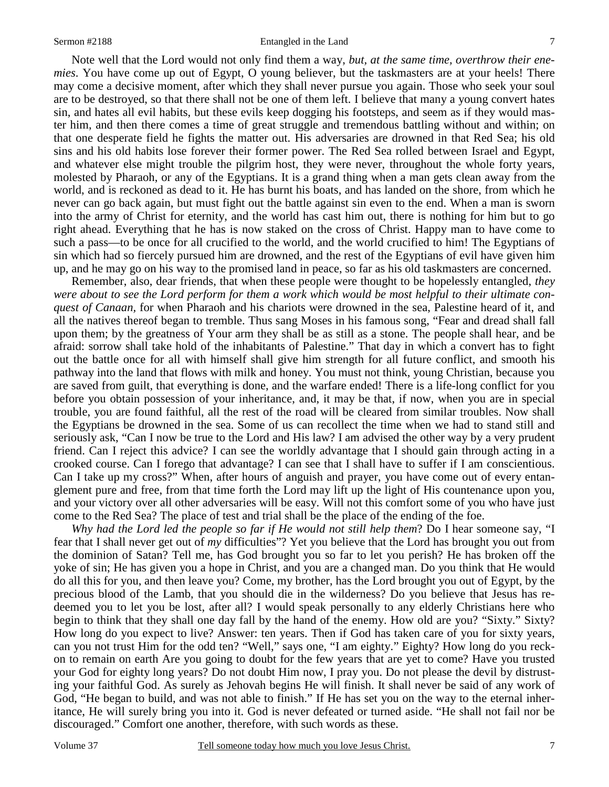### Sermon #2188 **Entangled in the Land** 7

 Note well that the Lord would not only find them a way, *but, at the same time, overthrow their enemies*. You have come up out of Egypt, O young believer, but the taskmasters are at your heels! There may come a decisive moment, after which they shall never pursue you again. Those who seek your soul are to be destroyed, so that there shall not be one of them left. I believe that many a young convert hates sin, and hates all evil habits, but these evils keep dogging his footsteps, and seem as if they would master him, and then there comes a time of great struggle and tremendous battling without and within; on that one desperate field he fights the matter out. His adversaries are drowned in that Red Sea; his old sins and his old habits lose forever their former power. The Red Sea rolled between Israel and Egypt, and whatever else might trouble the pilgrim host, they were never, throughout the whole forty years, molested by Pharaoh, or any of the Egyptians. It is a grand thing when a man gets clean away from the world, and is reckoned as dead to it. He has burnt his boats, and has landed on the shore, from which he never can go back again, but must fight out the battle against sin even to the end. When a man is sworn into the army of Christ for eternity, and the world has cast him out, there is nothing for him but to go right ahead. Everything that he has is now staked on the cross of Christ. Happy man to have come to such a pass—to be once for all crucified to the world, and the world crucified to him! The Egyptians of sin which had so fiercely pursued him are drowned, and the rest of the Egyptians of evil have given him up, and he may go on his way to the promised land in peace, so far as his old taskmasters are concerned.

 Remember, also, dear friends, that when these people were thought to be hopelessly entangled, *they were about to see the Lord perform for them a work which would be most helpful to their ultimate conquest of Canaan,* for when Pharaoh and his chariots were drowned in the sea, Palestine heard of it, and all the natives thereof began to tremble. Thus sang Moses in his famous song, "Fear and dread shall fall upon them; by the greatness of Your arm they shall be as still as a stone. The people shall hear, and be afraid: sorrow shall take hold of the inhabitants of Palestine." That day in which a convert has to fight out the battle once for all with himself shall give him strength for all future conflict, and smooth his pathway into the land that flows with milk and honey. You must not think, young Christian, because you are saved from guilt, that everything is done, and the warfare ended! There is a life-long conflict for you before you obtain possession of your inheritance, and, it may be that, if now, when you are in special trouble, you are found faithful, all the rest of the road will be cleared from similar troubles. Now shall the Egyptians be drowned in the sea. Some of us can recollect the time when we had to stand still and seriously ask, "Can I now be true to the Lord and His law? I am advised the other way by a very prudent friend. Can I reject this advice? I can see the worldly advantage that I should gain through acting in a crooked course. Can I forego that advantage? I can see that I shall have to suffer if I am conscientious. Can I take up my cross?" When, after hours of anguish and prayer, you have come out of every entanglement pure and free, from that time forth the Lord may lift up the light of His countenance upon you, and your victory over all other adversaries will be easy. Will not this comfort some of you who have just come to the Red Sea? The place of test and trial shall be the place of the ending of the foe.

*Why had the Lord led the people so far if He would not still help them*? Do I hear someone say, "I fear that I shall never get out of *my* difficulties"? Yet you believe that the Lord has brought you out from the dominion of Satan? Tell me, has God brought you so far to let you perish? He has broken off the yoke of sin; He has given you a hope in Christ, and you are a changed man. Do you think that He would do all this for you, and then leave you? Come, my brother, has the Lord brought you out of Egypt, by the precious blood of the Lamb, that you should die in the wilderness? Do you believe that Jesus has redeemed you to let you be lost, after all? I would speak personally to any elderly Christians here who begin to think that they shall one day fall by the hand of the enemy. How old are you? "Sixty." Sixty? How long do you expect to live? Answer: ten years. Then if God has taken care of you for sixty years, can you not trust Him for the odd ten? "Well," says one, "I am eighty." Eighty? How long do you reckon to remain on earth Are you going to doubt for the few years that are yet to come? Have you trusted your God for eighty long years? Do not doubt Him now, I pray you. Do not please the devil by distrusting your faithful God. As surely as Jehovah begins He will finish. It shall never be said of any work of God, "He began to build, and was not able to finish." If He has set you on the way to the eternal inheritance, He will surely bring you into it. God is never defeated or turned aside. "He shall not fail nor be discouraged." Comfort one another, therefore, with such words as these.